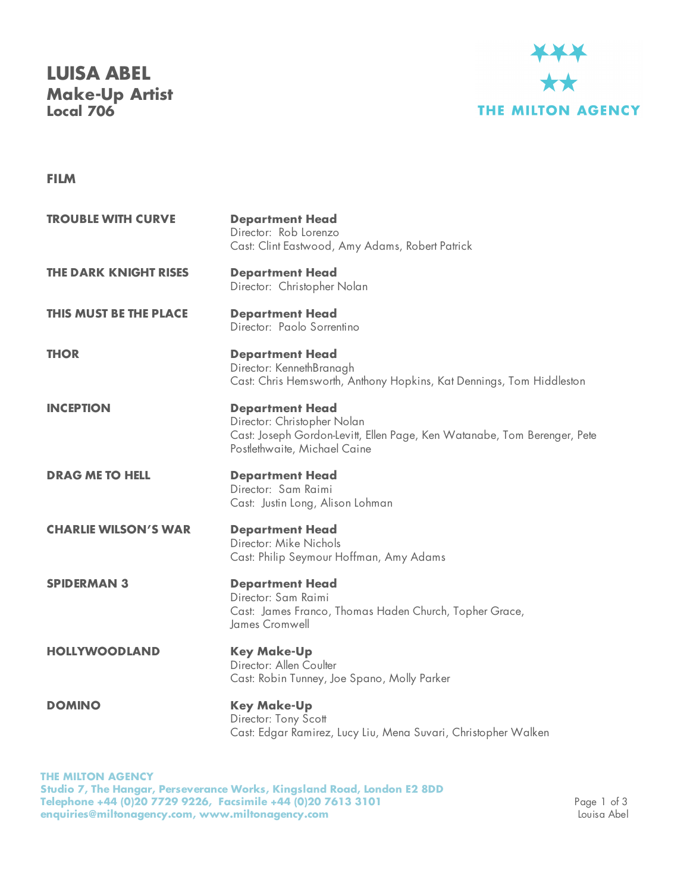## **LUISA ABEL Make-Up Artist Local 706**



## **FILM**

| <b>TROUBLE WITH CURVE</b>     | <b>Department Head</b><br>Director: Rob Lorenzo<br>Cast: Clint Eastwood, Amy Adams, Robert Patrick                                                                |
|-------------------------------|-------------------------------------------------------------------------------------------------------------------------------------------------------------------|
| <b>THE DARK KNIGHT RISES</b>  | <b>Department Head</b><br>Director: Christopher Nolan                                                                                                             |
| <b>THIS MUST BE THE PLACE</b> | <b>Department Head</b><br>Director: Paolo Sorrentino                                                                                                              |
| <b>THOR</b>                   | <b>Department Head</b><br>Director: KennethBranagh<br>Cast: Chris Hemsworth, Anthony Hopkins, Kat Dennings, Tom Hiddleston                                        |
| <b>INCEPTION</b>              | <b>Department Head</b><br>Director: Christopher Nolan<br>Cast: Joseph Gordon-Levitt, Ellen Page, Ken Watanabe, Tom Berenger, Pete<br>Postlethwaite, Michael Caine |
| <b>DRAG ME TO HELL</b>        | <b>Department Head</b><br>Director: Sam Raimi<br>Cast: Justin Long, Alison Lohman                                                                                 |
| <b>CHARLIE WILSON'S WAR</b>   | <b>Department Head</b><br>Director: Mike Nichols<br>Cast: Philip Seymour Hoffman, Amy Adams                                                                       |
| <b>SPIDERMAN 3</b>            | <b>Department Head</b><br>Director: Sam Raimi<br>Cast: James Franco, Thomas Haden Church, Topher Grace,<br>James Cromwell                                         |
| <b>HOLLYWOODLAND</b>          | <b>Key Make-Up</b><br>Director: Allen Coulter<br>Cast: Robin Tunney, Joe Spano, Molly Parker                                                                      |
| <b>DOMINO</b>                 | <b>Key Make-Up</b><br>Director: Tony Scott<br>Cast: Edgar Ramirez, Lucy Liu, Mena Suvari, Christopher Walken                                                      |

**THE MILTON AGENCY Studio 7, The Hangar, Perseverance Works, Kingsland Road, London E2 8DD Telephone +44 (0)20 7729 9226, Facsimile +44 (0)20 7613 3101** Page 1 of 3 **enquiries@miltonagency.com, www.miltonagency.com** Louisa Abel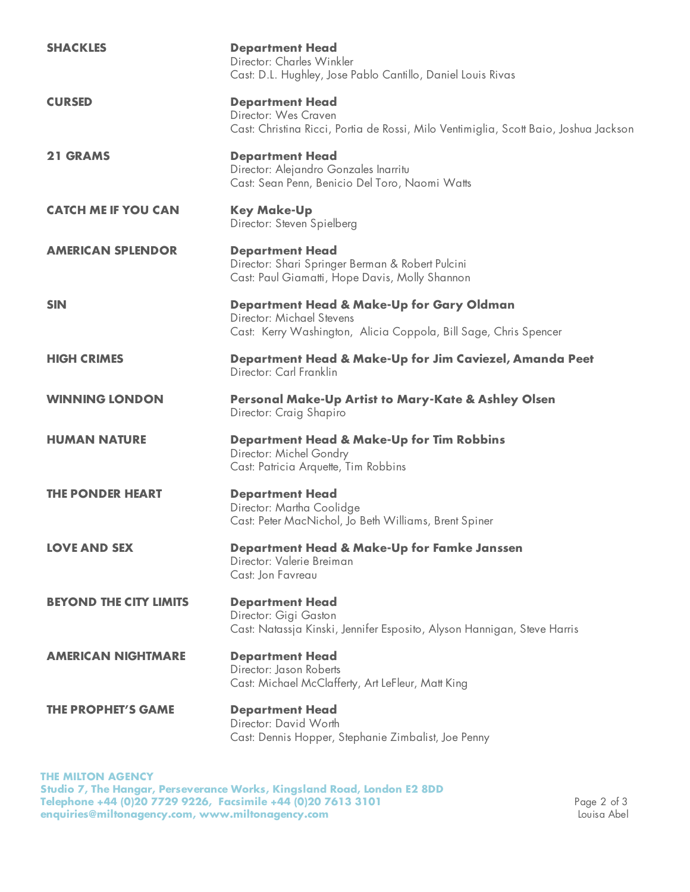| <b>SHACKLES</b>               | <b>Department Head</b><br>Director: Charles Winkler<br>Cast: D.L. Hughley, Jose Pablo Cantillo, Daniel Louis Rivas                         |
|-------------------------------|--------------------------------------------------------------------------------------------------------------------------------------------|
| <b>CURSED</b>                 | <b>Department Head</b><br>Director: Wes Craven<br>Cast: Christina Ricci, Portia de Rossi, Milo Ventimiglia, Scott Baio, Joshua Jackson     |
| <b>21 GRAMS</b>               | <b>Department Head</b><br>Director: Alejandro Gonzales Inarritu<br>Cast: Sean Penn, Benicio Del Toro, Naomi Watts                          |
| <b>CATCH ME IF YOU CAN</b>    | <b>Key Make-Up</b><br>Director: Steven Spielberg                                                                                           |
| <b>AMERICAN SPLENDOR</b>      | <b>Department Head</b><br>Director: Shari Springer Berman & Robert Pulcini<br>Cast: Paul Giamatti, Hope Davis, Molly Shannon               |
| <b>SIN</b>                    | Department Head & Make-Up for Gary Oldman<br>Director: Michael Stevens<br>Cast: Kerry Washington, Alicia Coppola, Bill Sage, Chris Spencer |
| <b>HIGH CRIMES</b>            | Department Head & Make-Up for Jim Caviezel, Amanda Peet<br>Director: Carl Franklin                                                         |
| <b>WINNING LONDON</b>         | Personal Make-Up Artist to Mary-Kate & Ashley Olsen<br>Director: Craig Shapiro                                                             |
| <b>HUMAN NATURE</b>           | <b>Department Head &amp; Make-Up for Tim Robbins</b><br>Director: Michel Gondry<br>Cast: Patricia Arquette, Tim Robbins                    |
| <b>THE PONDER HEART</b>       | <b>Department Head</b><br>Director: Martha Coolidge<br>Cast: Peter MacNichol, Jo Beth Williams, Brent Spiner                               |
| <b>LOVE AND SEX</b>           | Department Head & Make-Up for Famke Janssen<br>Director: Valerie Breiman<br>Cast: Jon Favreau                                              |
| <b>BEYOND THE CITY LIMITS</b> | <b>Department Head</b><br>Director: Gigi Gaston<br>Cast: Natassja Kinski, Jennifer Esposito, Alyson Hannigan, Steve Harris                 |
| <b>AMERICAN NIGHTMARE</b>     | <b>Department Head</b><br>Director: Jason Roberts<br>Cast: Michael McClafferty, Art LeFleur, Matt King                                     |
| <b>THE PROPHET'S GAME</b>     | <b>Department Head</b><br>Director: David Worth<br>Cast: Dennis Hopper, Stephanie Zimbalist, Joe Penny                                     |

**THE MILTON AGENCY Studio 7, The Hangar, Perseverance Works, Kingsland Road, London E2 8DD Telephone +44 (0)20 7729 9226, Facsimile +44 (0)20 7613 3101** Page 2 of 3 **enquiries@miltonagency.com, www.miltonagency.com** Louisa Abel